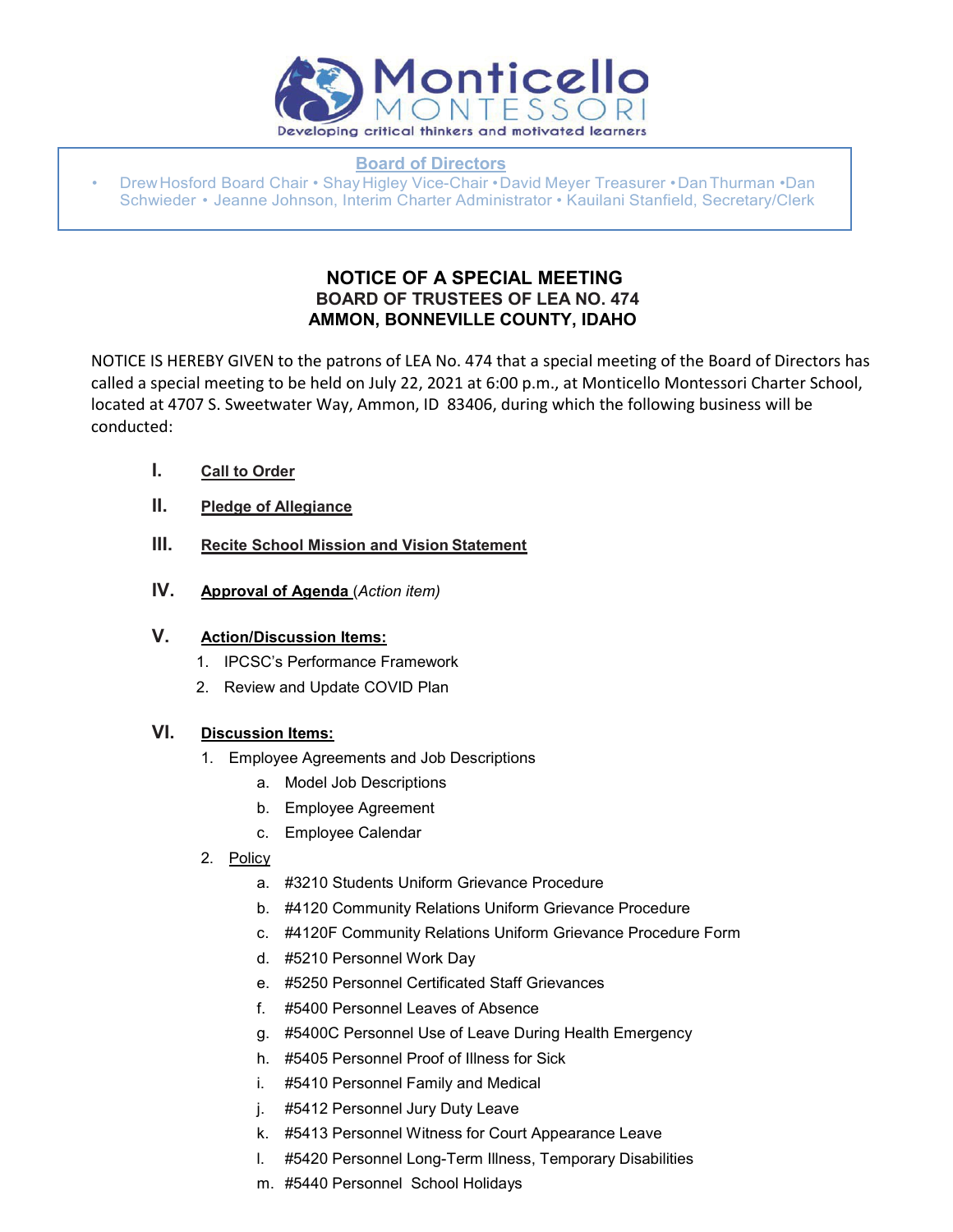

**Board of Directors**

• Drew Hosford Board Chair • Shay Higley Vice-Chair • David Meyer Treasurer • Dan Thurman • Dan Schwieder • Jeanne Johnson, Interim Charter Administrator • Kauilani Stanfield, Secretary/Clerk

# **NOTICE OF A SPECIAL MEETING BOARD OF TRUSTEES OF LEA NO. 474 AMMON, BONNEVILLE COUNTY, IDAHO**

NOTICE IS HEREBY GIVEN to the patrons of LEA No. 474 that a special meeting of the Board of Directors has called a special meeting to be held on July 22, 2021 at 6:00 p.m., at Monticello Montessori Charter School, located at 4707 S. Sweetwater Way, Ammon, ID 83406, during which the following business will be conducted:

- **I. Call to Order**
- **II. Pledge of Allegiance**
- **III. Recite School Mission and Vision Statement**
- **IV. Approval of Agenda** (*Action item)*

# **V. Action/Discussion Items:**

- 1. IPCSC's Performance Framework
- 2. Review and Update COVID Plan

### **VI. Discussion Items:**

- 1. Employee Agreements and Job Descriptions
	- a. Model Job Descriptions
	- b. Employee Agreement
	- c. Employee Calendar
- 2. Policy
	- a. #3210 Students Uniform Grievance Procedure
	- b. #4120 Community Relations Uniform Grievance Procedure
	- c. #4120F Community Relations Uniform Grievance Procedure Form
	- d. #5210 Personnel Work Day
	- e. #5250 Personnel Certificated Staff Grievances
	- f. #5400 Personnel Leaves of Absence
	- g. #5400C Personnel Use of Leave During Health Emergency
	- h. #5405 Personnel Proof of Illness for Sick
	- i. #5410 Personnel Family and Medical
	- j. #5412 Personnel Jury Duty Leave
	- k. #5413 Personnel Witness for Court Appearance Leave
	- l. #5420 Personnel Long-Term Illness, Temporary Disabilities
	- m. #5440 Personnel School Holidays